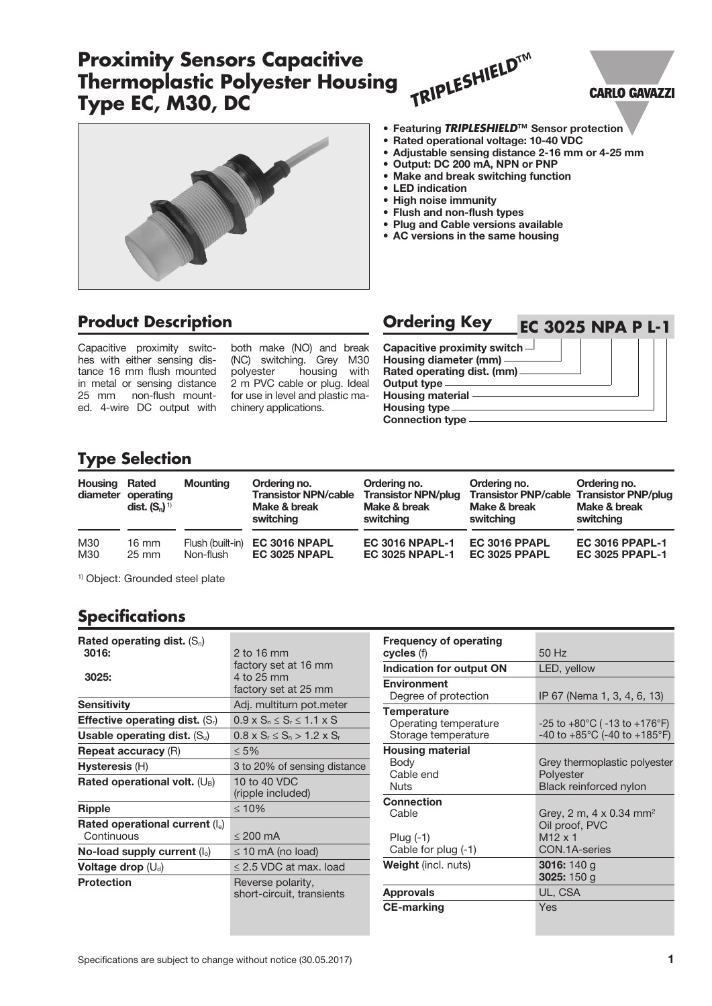# **Proximity Sensors Capacitive Thermoplastic Polyester Housing Type EC, M30, DC**







#### • Featuring *TRIPLESHIELD***™** Sensor protection

- Rated operational voltage: 10-40 VDC
- Adjustable sensing distance 2-16 mm or 4-25 mm
- Output: DC 200 mA, NPN or PNP
- Make and break switching function
- LED indication
- High noise immunity
- Flush and non-flush types
- Plug and Cable versions available
- AC versions in the same housing

## **Product Description**

Capacitive proximity switches with either sensing distance 16 mm flush mounted in metal or sensing distance 2 m PVC cable or plug. Ideal 25 mm non-flush mounted. 4-wire DC output with chinery applications.

both make (NO) and break (NC) switching. Grey M30<br>polyester housing with housing with for use in level and plastic ma-

| <b>Ordering Key</b><br><b>EC 3025 NPA P L-1</b>                                                                                                                                           |  |
|-------------------------------------------------------------------------------------------------------------------------------------------------------------------------------------------|--|
| Capacitive proximity switch $\Box$<br>Housing diameter (mm) -<br>Rated operating dist. (mm)<br><b>Output type</b><br><b>Housing material -</b><br>Housing type.<br><b>Connection type</b> |  |

## **Type Selection**

| Housing | Rated<br>diameter operating<br>dist. $(S_n)^{\eta}$ | <b>Mounting</b>  | Ordering no.<br><b>Transistor NPN/cable</b><br>Make & break<br>switching | Ordering no.<br><b>Transistor NPN/plug</b><br>Make & break<br>switching | Ordering no.<br><b>Transistor PNP/cable Transistor PNP/plug</b><br>Make & break<br>switching | Ordering no.<br>Make & break<br>switching |
|---------|-----------------------------------------------------|------------------|--------------------------------------------------------------------------|-------------------------------------------------------------------------|----------------------------------------------------------------------------------------------|-------------------------------------------|
| M30     | 16 mm                                               | Flush (built-in) | EC 3016 NPAPL                                                            | <b>EC 3016 NPAPL-1</b>                                                  | EC 3016 PPAPL                                                                                | <b>EC 3016 PPAPL-1</b>                    |
| M30     | $25 \text{ mm}$                                     | Non-flush        | <b>EC 3025 NPAPL</b>                                                     | <b>EC 3025 NPAPL-1</b>                                                  | <b>EC 3025 PPAPL</b>                                                                         | <b>EC 3025 PPAPL-1</b>                    |

1) Object: Grounded steel plate

## **Specifications**

| Rated operating dist. $(S_n)$<br>3016:   | 2 to 16 mm                                     |
|------------------------------------------|------------------------------------------------|
|                                          | factory set at 16 mm                           |
| 3025:                                    | 4 to 25 mm                                     |
|                                          | factory set at 25 mm                           |
| <b>Sensitivity</b>                       | Adj. multiturn pot.meter                       |
| <b>Effective operating dist.</b> $(S_i)$ | $0.9 \times S_n \leq S_r \leq 1.1 \times S$    |
| Usable operating dist. $(S_u)$           | $0.8 \times S_r \le S_n > 1.2 \times S_r$      |
| <b>Repeat accuracy (R)</b>               | $\leq 5\%$                                     |
| Hysteresis (H)                           | 3 to 20% of sensing distance                   |
| Rated operational volt. $(U_B)$          | 10 to 40 VDC                                   |
|                                          | (ripple included)                              |
| Ripple                                   | $\leq 10\%$                                    |
| Rated operational current $(I_e)$        |                                                |
| Continuous                               | $\leq$ 200 mA                                  |
| No-load supply current $(I_0)$           | $\leq$ 10 mA (no load)                         |
| Voltage drop $(U_d)$                     | $\leq$ 2.5 VDC at max. load                    |
| <b>Protection</b>                        | Reverse polarity,<br>short-circuit, transients |
|                                          |                                                |

| <b>Frequency of operating</b><br><b>cycles</b> (f)                 | 50Hz                                                                                                    |
|--------------------------------------------------------------------|---------------------------------------------------------------------------------------------------------|
| Indication for output ON                                           | LED, yellow                                                                                             |
| <b>Environment</b><br>Degree of protection                         | IP 67 (Nema 1, 3, 4, 6, 13)                                                                             |
| <b>Temperature</b><br>Operating temperature<br>Storage temperature | $-25$ to $+80^{\circ}$ C ( -13 to $+176^{\circ}$ F)<br>-40 to $+85^{\circ}$ C (-40 to $+185^{\circ}$ F) |
| <b>Housing material</b><br>Body<br>Cable end<br>Nuts               | Grey thermoplastic polyester<br>Polyester<br><b>Black reinforced nylon</b>                              |
| <b>Connection</b><br>Cable<br>Plug (-1)<br>Cable for plug (-1)     | Grey, 2 m, 4 x 0.34 mm <sup>2</sup><br>Oil proof, PVC<br>$M12 \times 1$<br>CON.1A-series                |
| <b>Weight</b> (incl. nuts)                                         | <b>3016:</b> 140 g<br><b>3025:</b> 150 g                                                                |
| <b>Approvals</b>                                                   | UL, CSA                                                                                                 |
| <b>CE-marking</b>                                                  | Yes                                                                                                     |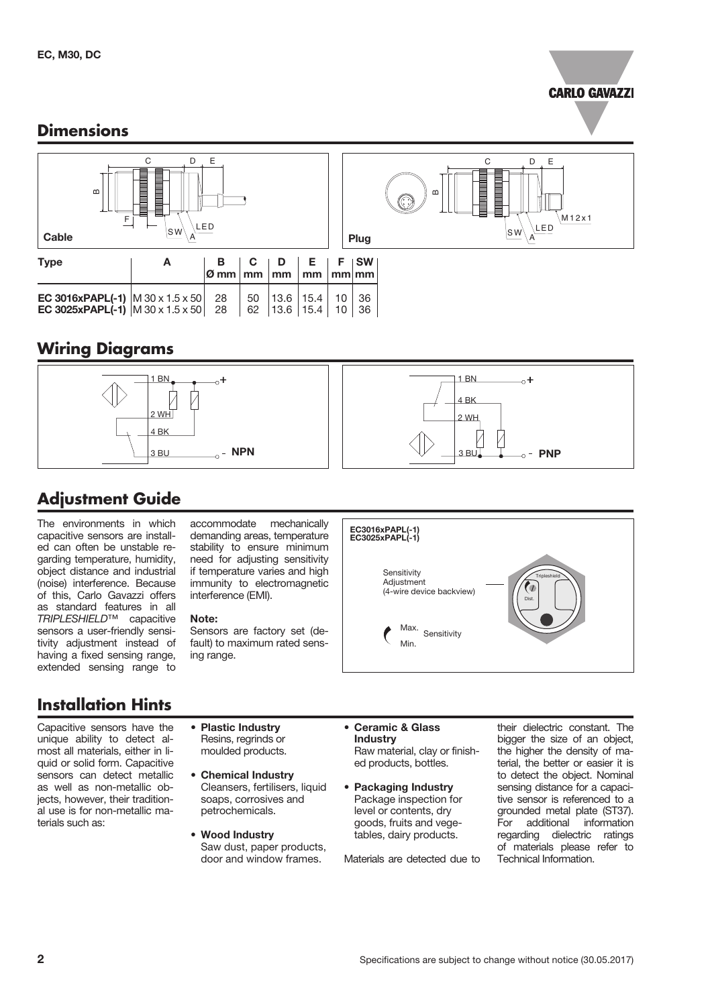

### **Dimensions**



## **Wiring Diagrams**



# **Adjustment Guide**

The environments in which capacitive sensors are installed can often be unstable regarding temperature, humidity, object distance and industrial (noise) interference. Because of this, Carlo Gavazzi offers as standard features in all *TRIPLESHIELD*™ capacitive sensors a user-friendly sensitivity adjustment instead of having a fixed sensing range, extended sensing range to

# **Installation Hints**

Capacitive sensors have the unique ability to detect almost all materials, either in liquid or solid form. Capacitive sensors can detect metallic as well as non-metallic objects, however, their traditional use is for non-metallic materials such as:

accommodate mechanically demanding areas, temperature stability to ensure minimum need for adjusting sensitivity if temperature varies and high immunity to electromagnetic interference (EMI).

#### Note:

Sensors are factory set (default) to maximum rated sensing range.



- Plastic Industry Resins, regrinds or moulded products.
- Chemical Industry Cleansers, fertilisers, liquid soaps, corrosives and petrochemicals.

• Wood Industry Saw dust, paper products, door and window frames.

- Ceramic & Glass Industry Raw material, clay or finished products, bottles.
- Packaging Industry Package inspection for level or contents, dry goods, fruits and vegetables, dairy products.

Materials are detected due to

their dielectric constant. The bigger the size of an object, the higher the density of material, the better or easier it is to detect the object. Nominal sensing distance for a capacitive sensor is referenced to a grounded metal plate (ST37). For additional information regarding dielectric ratings of materials please refer to Technical Information.